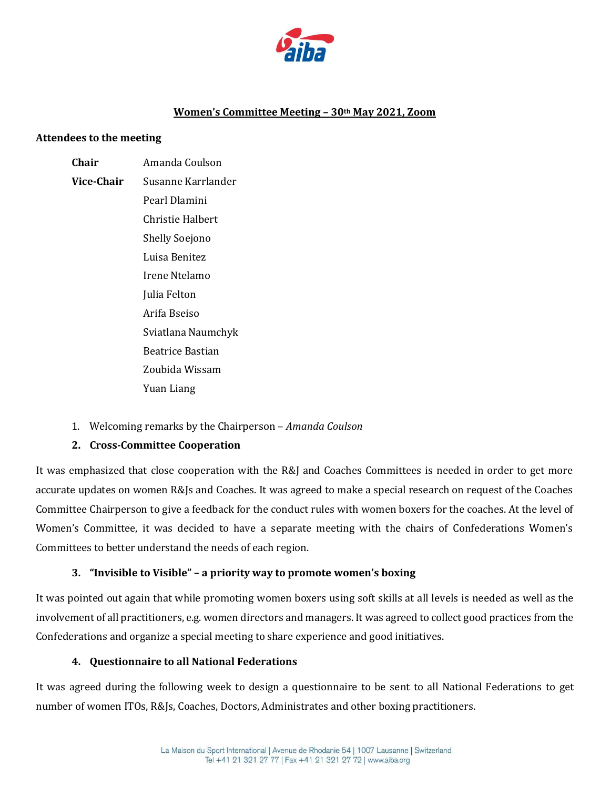

### **Women's Committee Meeting – 30th May 2021, Zoom**

#### **Attendees to the meeting**

# **Chair** Amanda Coulson

- **Vice-Сhair** Susanne Karrlander Pearl Dlamini Christie Halbert Shelly Soejono Luisa Benitez Irene Ntelamo Julia Felton Arifa Bseiso Sviatlana Naumchyk Beatrice Bastian Zoubida Wissam Yuan Liang
- 1. Welcoming remarks by the Chairperson *Amanda Coulson*

## **2. Cross-Committee Cooperation**

It was emphasized that close cooperation with the R&J and Coaches Committees is needed in order to get more accurate updates on women R&Js and Coaches. It was agreed to make a special research on request of the Coaches Committee Chairperson to give a feedback for the conduct rules with women boxers for the coaches. At the level of Women's Committee, it was decided to have a separate meeting with the chairs of Confederations Women's Committees to better understand the needs of each region.

## **3. "Invisible to Visible" – a priority way to promote women's boxing**

It was pointed out again that while promoting women boxers using soft skills at all levels is needed as well as the involvement of all practitioners, e.g. women directors and managers. It was agreed to collect good practices from the Confederations and organize a special meeting to share experience and good initiatives.

#### **4. Questionnaire to all National Federations**

It was agreed during the following week to design a questionnaire to be sent to all National Federations to get number of women ITOs, R&Js, Coaches, Doctors, Administrates and other boxing practitioners.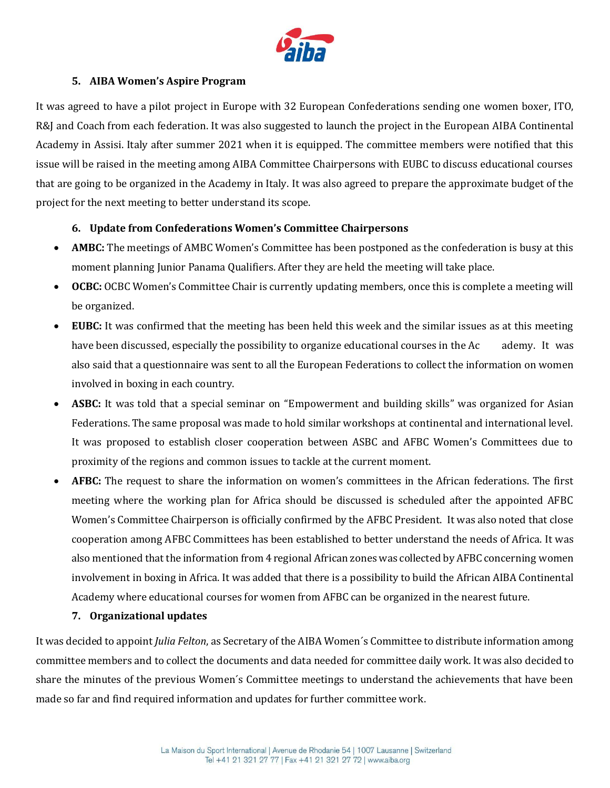

### **5. AIBA Women's Aspire Program**

It was agreed to have a pilot project in Europe with 32 European Confederations sending one women boxer, ITO, R&J and Coach from each federation. It was also suggested to launch the project in the European AIBA Continental Academy in Assisi. Italy after summer 2021 when it is equipped. The committee members were notified that this issue will be raised in the meeting among AIBA Committee Chairpersons with EUBC to discuss educational courses that are going to be organized in the Academy in Italy. It was also agreed to prepare the approximate budget of the project for the next meeting to better understand its scope.

### **6. Update from Confederations Women's Committee Chairpersons**

- **AMBC:** The meetings of AMBC Women's Committee has been postponed as the confederation is busy at this moment planning Junior Panama Qualifiers. After they are held the meeting will take place.
- **OCBC:** OCBC Women's Committee Chair is currently updating members, once this is complete a meeting will be organized.
- **EUBC:** It was confirmed that the meeting has been held this week and the similar issues as at this meeting have been discussed, especially the possibility to organize educational courses in the Ac ademy. It was also said that a questionnaire was sent to all the European Federations to collect the information on women involved in boxing in each country.
- **ASBC:** It was told that a special seminar on "Empowerment and building skills" was organized for Asian Federations. The same proposal was made to hold similar workshops at continental and international level. It was proposed to establish closer cooperation between ASBC and AFBC Women's Committees due to proximity of the regions and common issues to tackle at the current moment.
- **AFBC:** The request to share the information on women's committees in the African federations. The first meeting where the working plan for Africa should be discussed is scheduled after the appointed AFBC Women's Committee Chairperson is officially confirmed by the AFBC President. It was also noted that close cooperation among AFBC Committees has been established to better understand the needs of Africa. It was also mentioned that the information from 4 regional African zones was collected by AFBC concerning women involvement in boxing in Africa. It was added that there is a possibility to build the African AIBA Continental Academy where educational courses for women from AFBC can be organized in the nearest future.

## **7. Organizational updates**

It was decided to appoint *Julia Felton*, as Secretary of the AIBA Women´s Committee to distribute information among committee members and to collect the documents and data needed for committee daily work. It was also decided to share the minutes of the previous Women´s Committee meetings to understand the achievements that have been made so far and find required information and updates for further committee work.